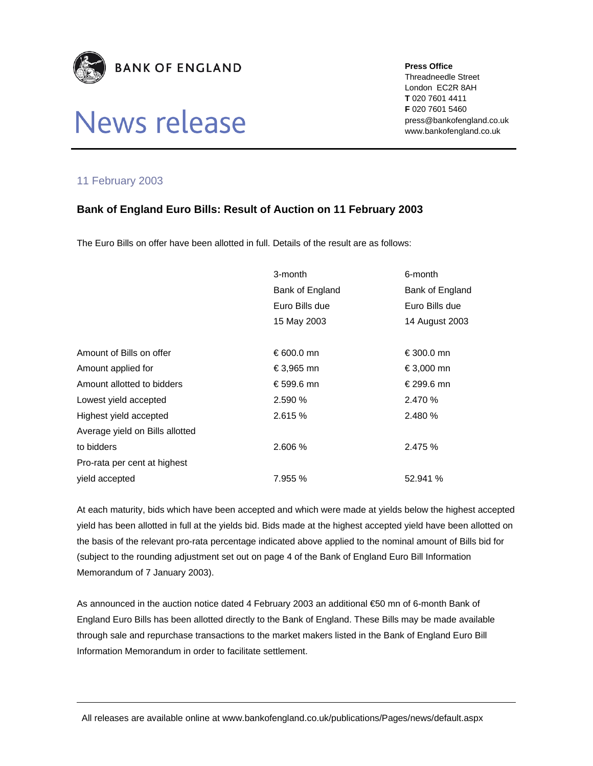

## News release

**Press Office** 

Threadneedle Street London EC2R 8AH **T** 020 7601 4411 **F** 020 7601 5460 press@bankofengland.co.uk www.bankofengland.co.uk

## 11 February 2003

## **Bank of England Euro Bills: Result of Auction on 11 February 2003**

The Euro Bills on offer have been allotted in full. Details of the result are as follows:

|                                 | 3-month         | 6-month         |
|---------------------------------|-----------------|-----------------|
|                                 | Bank of England | Bank of England |
|                                 | Euro Bills due  | Euro Bills due  |
|                                 | 15 May 2003     | 14 August 2003  |
|                                 |                 |                 |
| Amount of Bills on offer        | € 600.0 mn      | €300.0 mn       |
| Amount applied for              | €3,965 mn       | €3,000 mn       |
| Amount allotted to bidders      | €599.6 mn       | € 299.6 mn      |
| Lowest yield accepted           | 2.590 %         | 2.470 %         |
| Highest yield accepted          | 2.615 %         | 2.480 %         |
| Average yield on Bills allotted |                 |                 |
| to bidders                      | 2.606 %         | 2.475 %         |
| Pro-rata per cent at highest    |                 |                 |
| vield accepted                  | 7.955 %         | 52.941 %        |

At each maturity, bids which have been accepted and which were made at yields below the highest accepted yield has been allotted in full at the yields bid. Bids made at the highest accepted yield have been allotted on the basis of the relevant pro-rata percentage indicated above applied to the nominal amount of Bills bid for (subject to the rounding adjustment set out on page 4 of the Bank of England Euro Bill Information Memorandum of 7 January 2003).

As announced in the auction notice dated 4 February 2003 an additional €50 mn of 6-month Bank of England Euro Bills has been allotted directly to the Bank of England. These Bills may be made available through sale and repurchase transactions to the market makers listed in the Bank of England Euro Bill Information Memorandum in order to facilitate settlement.